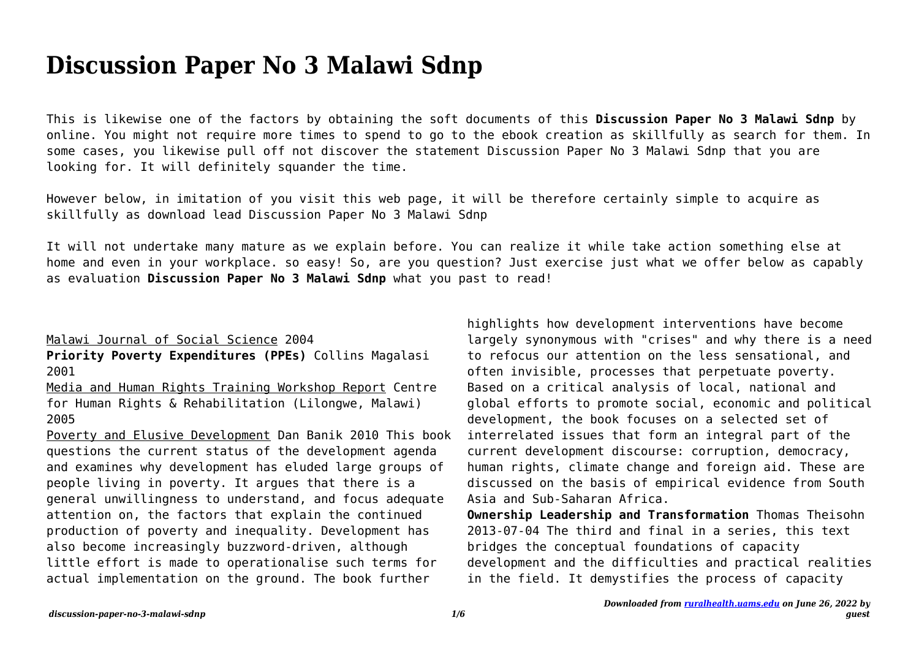# **Discussion Paper No 3 Malawi Sdnp**

This is likewise one of the factors by obtaining the soft documents of this **Discussion Paper No 3 Malawi Sdnp** by online. You might not require more times to spend to go to the ebook creation as skillfully as search for them. In some cases, you likewise pull off not discover the statement Discussion Paper No 3 Malawi Sdnp that you are looking for. It will definitely squander the time.

However below, in imitation of you visit this web page, it will be therefore certainly simple to acquire as skillfully as download lead Discussion Paper No 3 Malawi Sdnp

It will not undertake many mature as we explain before. You can realize it while take action something else at home and even in your workplace. so easy! So, are you question? Just exercise just what we offer below as capably as evaluation **Discussion Paper No 3 Malawi Sdnp** what you past to read!

### Malawi Journal of Social Science 2004

**Priority Poverty Expenditures (PPEs)** Collins Magalasi 2001

Media and Human Rights Training Workshop Report Centre for Human Rights & Rehabilitation (Lilongwe, Malawi) 2005

Poverty and Elusive Development Dan Banik 2010 This book questions the current status of the development agenda and examines why development has eluded large groups of people living in poverty. It argues that there is a general unwillingness to understand, and focus adequate attention on, the factors that explain the continued production of poverty and inequality. Development has also become increasingly buzzword-driven, although little effort is made to operationalise such terms for actual implementation on the ground. The book further

highlights how development interventions have become largely synonymous with "crises" and why there is a need to refocus our attention on the less sensational, and often invisible, processes that perpetuate poverty. Based on a critical analysis of local, national and global efforts to promote social, economic and political development, the book focuses on a selected set of interrelated issues that form an integral part of the current development discourse: corruption, democracy, human rights, climate change and foreign aid. These are discussed on the basis of empirical evidence from South Asia and Sub-Saharan Africa.

**Ownership Leadership and Transformation** Thomas Theisohn 2013-07-04 The third and final in a series, this text bridges the conceptual foundations of capacity development and the difficulties and practical realities in the field. It demystifies the process of capacity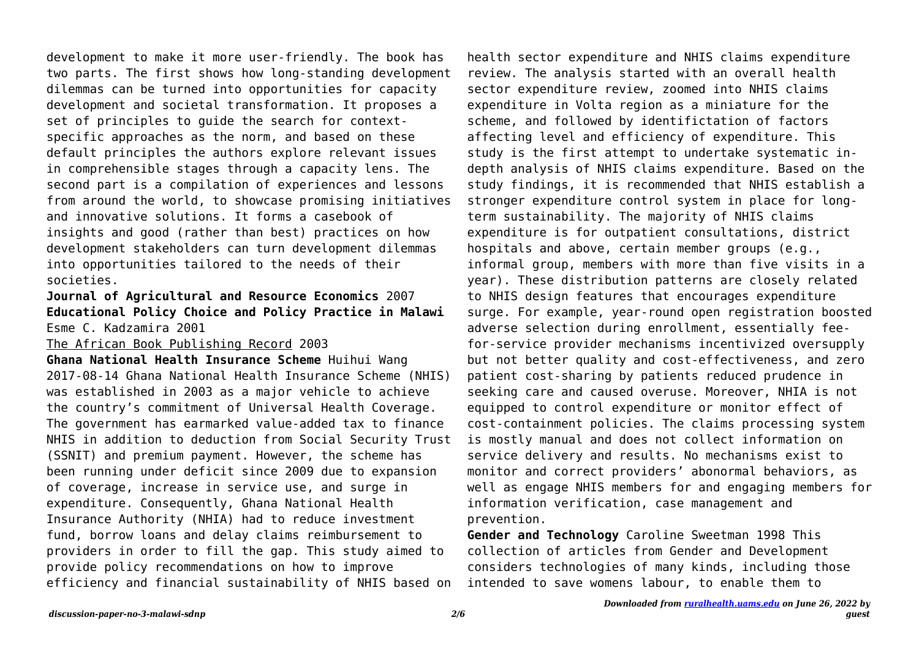development to make it more user-friendly. The book has two parts. The first shows how long-standing development dilemmas can be turned into opportunities for capacity development and societal transformation. It proposes a set of principles to guide the search for contextspecific approaches as the norm, and based on these default principles the authors explore relevant issues in comprehensible stages through a capacity lens. The second part is a compilation of experiences and lessons from around the world, to showcase promising initiatives and innovative solutions. It forms a casebook of insights and good (rather than best) practices on how development stakeholders can turn development dilemmas into opportunities tailored to the needs of their societies.

## **Journal of Agricultural and Resource Economics** 2007 **Educational Policy Choice and Policy Practice in Malawi** Esme C. Kadzamira 2001

#### The African Book Publishing Record 2003

**Ghana National Health Insurance Scheme** Huihui Wang 2017-08-14 Ghana National Health Insurance Scheme (NHIS) was established in 2003 as a major vehicle to achieve the country's commitment of Universal Health Coverage. The government has earmarked value-added tax to finance NHIS in addition to deduction from Social Security Trust (SSNIT) and premium payment. However, the scheme has been running under deficit since 2009 due to expansion of coverage, increase in service use, and surge in expenditure. Consequently, Ghana National Health Insurance Authority (NHIA) had to reduce investment fund, borrow loans and delay claims reimbursement to providers in order to fill the gap. This study aimed to provide policy recommendations on how to improve efficiency and financial sustainability of NHIS based on

health sector expenditure and NHIS claims expenditure review. The analysis started with an overall health sector expenditure review, zoomed into NHIS claims expenditure in Volta region as a miniature for the scheme, and followed by identifictation of factors affecting level and efficiency of expenditure. This study is the first attempt to undertake systematic indepth analysis of NHIS claims expenditure. Based on the study findings, it is recommended that NHIS establish a stronger expenditure control system in place for longterm sustainability. The majority of NHIS claims expenditure is for outpatient consultations, district hospitals and above, certain member groups (e.g., informal group, members with more than five visits in a year). These distribution patterns are closely related to NHIS design features that encourages expenditure surge. For example, year-round open registration boosted adverse selection during enrollment, essentially feefor-service provider mechanisms incentivized oversupply but not better quality and cost-effectiveness, and zero patient cost-sharing by patients reduced prudence in seeking care and caused overuse. Moreover, NHIA is not equipped to control expenditure or monitor effect of cost-containment policies. The claims processing system is mostly manual and does not collect information on service delivery and results. No mechanisms exist to monitor and correct providers' abonormal behaviors, as well as engage NHIS members for and engaging members for information verification, case management and prevention.

**Gender and Technology** Caroline Sweetman 1998 This collection of articles from Gender and Development considers technologies of many kinds, including those intended to save womens labour, to enable them to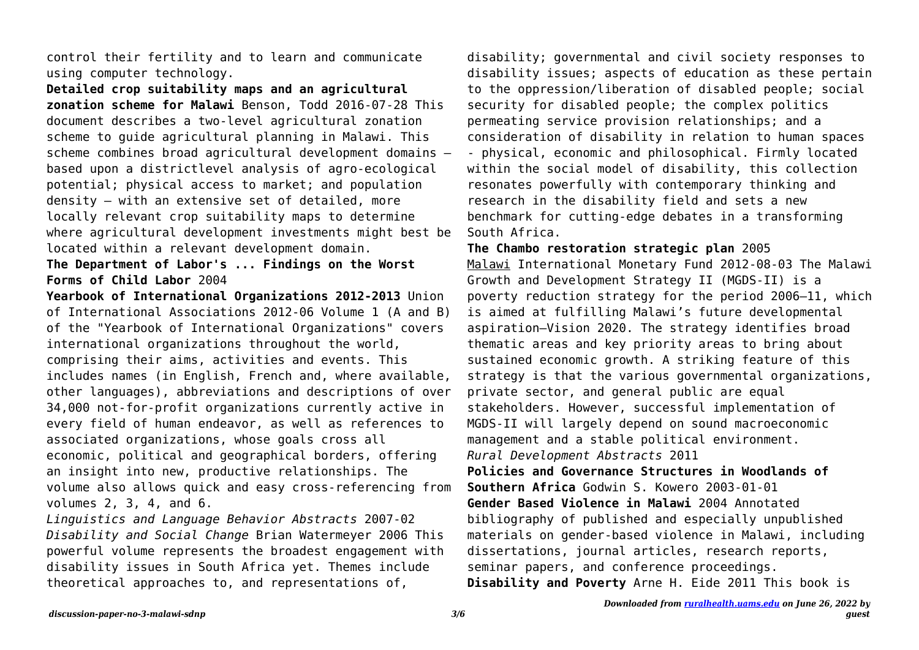control their fertility and to learn and communicate using computer technology.

**Detailed crop suitability maps and an agricultural zonation scheme for Malawi** Benson, Todd 2016-07-28 This document describes a two-level agricultural zonation scheme to guide agricultural planning in Malawi. This scheme combines broad agricultural development domains – based upon a districtlevel analysis of agro-ecological potential; physical access to market; and population density – with an extensive set of detailed, more locally relevant crop suitability maps to determine where agricultural development investments might best be located within a relevant development domain.

**The Department of Labor's ... Findings on the Worst Forms of Child Labor** 2004

**Yearbook of International Organizations 2012-2013** Union of International Associations 2012-06 Volume 1 (A and B) of the "Yearbook of International Organizations" covers international organizations throughout the world, comprising their aims, activities and events. This includes names (in English, French and, where available, other languages), abbreviations and descriptions of over 34,000 not-for-profit organizations currently active in every field of human endeavor, as well as references to associated organizations, whose goals cross all economic, political and geographical borders, offering an insight into new, productive relationships. The volume also allows quick and easy cross-referencing from volumes 2, 3, 4, and 6.

*Linguistics and Language Behavior Abstracts* 2007-02 *Disability and Social Change* Brian Watermeyer 2006 This powerful volume represents the broadest engagement with disability issues in South Africa yet. Themes include theoretical approaches to, and representations of,

disability; governmental and civil society responses to disability issues; aspects of education as these pertain to the oppression/liberation of disabled people; social security for disabled people; the complex politics permeating service provision relationships; and a consideration of disability in relation to human spaces - physical, economic and philosophical. Firmly located within the social model of disability, this collection resonates powerfully with contemporary thinking and research in the disability field and sets a new benchmark for cutting-edge debates in a transforming South Africa.

**The Chambo restoration strategic plan** 2005 Malawi International Monetary Fund 2012-08-03 The Malawi Growth and Development Strategy II (MGDS-II) is a poverty reduction strategy for the period 2006–11, which is aimed at fulfilling Malawi's future developmental aspiration—Vision 2020. The strategy identifies broad thematic areas and key priority areas to bring about sustained economic growth. A striking feature of this strategy is that the various governmental organizations, private sector, and general public are equal stakeholders. However, successful implementation of MGDS-II will largely depend on sound macroeconomic management and a stable political environment. *Rural Development Abstracts* 2011 **Policies and Governance Structures in Woodlands of Southern Africa** Godwin S. Kowero 2003-01-01 **Gender Based Violence in Malawi** 2004 Annotated bibliography of published and especially unpublished materials on gender-based violence in Malawi, including

dissertations, journal articles, research reports, seminar papers, and conference proceedings. **Disability and Poverty** Arne H. Eide 2011 This book is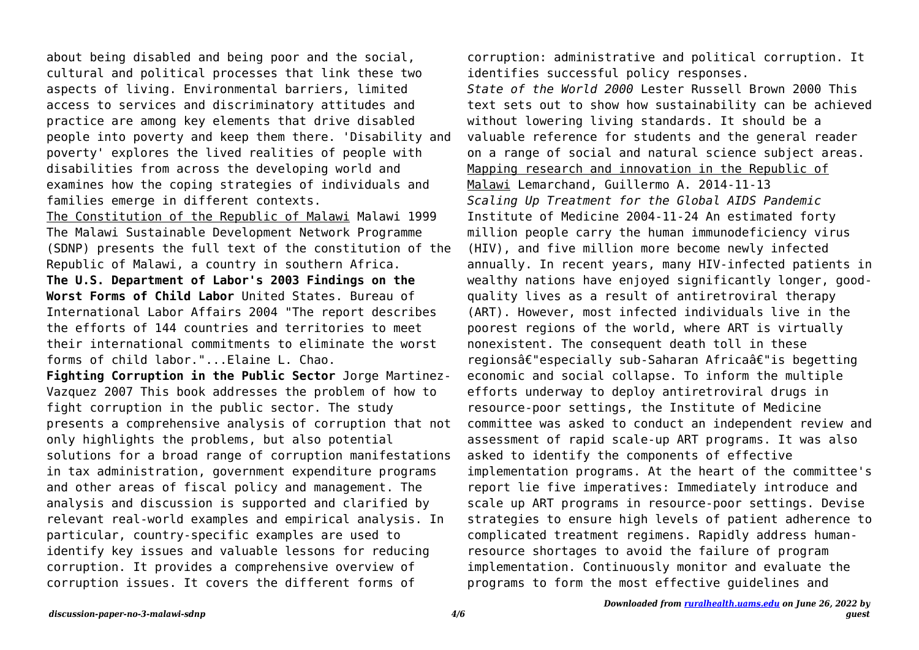about being disabled and being poor and the social, cultural and political processes that link these two aspects of living. Environmental barriers, limited access to services and discriminatory attitudes and practice are among key elements that drive disabled people into poverty and keep them there. 'Disability and poverty' explores the lived realities of people with disabilities from across the developing world and examines how the coping strategies of individuals and families emerge in different contexts.

The Constitution of the Republic of Malawi Malawi 1999 The Malawi Sustainable Development Network Programme (SDNP) presents the full text of the constitution of the Republic of Malawi, a country in southern Africa. **The U.S. Department of Labor's 2003 Findings on the Worst Forms of Child Labor** United States. Bureau of International Labor Affairs 2004 "The report describes the efforts of 144 countries and territories to meet their international commitments to eliminate the worst forms of child labor."...Elaine L. Chao.

**Fighting Corruption in the Public Sector** Jorge Martinez-Vazquez 2007 This book addresses the problem of how to fight corruption in the public sector. The study presents a comprehensive analysis of corruption that not only highlights the problems, but also potential solutions for a broad range of corruption manifestations in tax administration, government expenditure programs and other areas of fiscal policy and management. The analysis and discussion is supported and clarified by relevant real-world examples and empirical analysis. In particular, country-specific examples are used to identify key issues and valuable lessons for reducing corruption. It provides a comprehensive overview of corruption issues. It covers the different forms of

corruption: administrative and political corruption. It identifies successful policy responses.

*State of the World 2000* Lester Russell Brown 2000 This text sets out to show how sustainability can be achieved without lowering living standards. It should be a valuable reference for students and the general reader on a range of social and natural science subject areas. Mapping research and innovation in the Republic of Malawi Lemarchand, Guillermo A. 2014-11-13 *Scaling Up Treatment for the Global AIDS Pandemic* Institute of Medicine 2004-11-24 An estimated forty million people carry the human immunodeficiency virus (HIV), and five million more become newly infected annually. In recent years, many HIV-infected patients in wealthy nations have enjoyed significantly longer, goodquality lives as a result of antiretroviral therapy (ART). However, most infected individuals live in the poorest regions of the world, where ART is virtually nonexistent. The consequent death toll in these regionsâ€"especially sub-Saharan Africaâ€"is begetting economic and social collapse. To inform the multiple efforts underway to deploy antiretroviral drugs in resource-poor settings, the Institute of Medicine committee was asked to conduct an independent review and assessment of rapid scale-up ART programs. It was also asked to identify the components of effective implementation programs. At the heart of the committee's report lie five imperatives: Immediately introduce and scale up ART programs in resource-poor settings. Devise strategies to ensure high levels of patient adherence to complicated treatment regimens. Rapidly address humanresource shortages to avoid the failure of program implementation. Continuously monitor and evaluate the programs to form the most effective guidelines and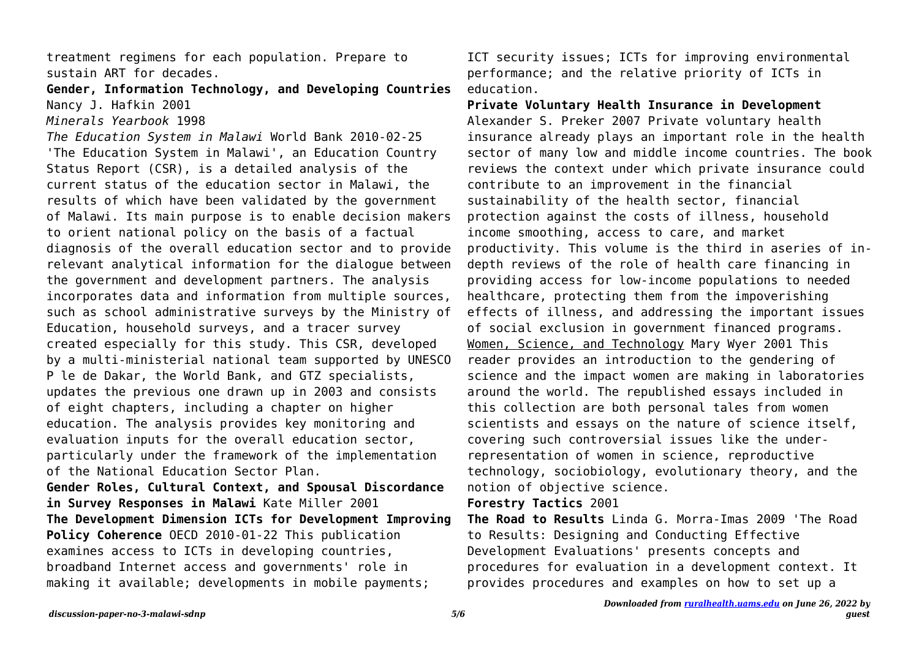treatment regimens for each population. Prepare to sustain ART for decades.

# **Gender, Information Technology, and Developing Countries** Nancy J. Hafkin 2001

*Minerals Yearbook* 1998

*The Education System in Malawi* World Bank 2010-02-25 'The Education System in Malawi', an Education Country Status Report (CSR), is a detailed analysis of the current status of the education sector in Malawi, the results of which have been validated by the government of Malawi. Its main purpose is to enable decision makers to orient national policy on the basis of a factual diagnosis of the overall education sector and to provide relevant analytical information for the dialogue between the government and development partners. The analysis incorporates data and information from multiple sources, such as school administrative surveys by the Ministry of Education, household surveys, and a tracer survey created especially for this study. This CSR, developed by a multi-ministerial national team supported by UNESCO P le de Dakar, the World Bank, and GTZ specialists, updates the previous one drawn up in 2003 and consists of eight chapters, including a chapter on higher education. The analysis provides key monitoring and evaluation inputs for the overall education sector, particularly under the framework of the implementation of the National Education Sector Plan. **Gender Roles, Cultural Context, and Spousal Discordance in Survey Responses in Malawi** Kate Miller 2001 **The Development Dimension ICTs for Development Improving Policy Coherence** OECD 2010-01-22 This publication examines access to ICTs in developing countries, broadband Internet access and governments' role in making it available; developments in mobile payments;

ICT security issues; ICTs for improving environmental performance; and the relative priority of ICTs in education.

**Private Voluntary Health Insurance in Development** Alexander S. Preker 2007 Private voluntary health insurance already plays an important role in the health sector of many low and middle income countries. The book reviews the context under which private insurance could contribute to an improvement in the financial sustainability of the health sector, financial protection against the costs of illness, household income smoothing, access to care, and market productivity. This volume is the third in aseries of indepth reviews of the role of health care financing in providing access for low-income populations to needed healthcare, protecting them from the impoverishing effects of illness, and addressing the important issues of social exclusion in government financed programs. Women, Science, and Technology Mary Wyer 2001 This reader provides an introduction to the gendering of science and the impact women are making in laboratories around the world. The republished essays included in this collection are both personal tales from women scientists and essays on the nature of science itself, covering such controversial issues like the underrepresentation of women in science, reproductive technology, sociobiology, evolutionary theory, and the notion of objective science.

#### **Forestry Tactics** 2001

**The Road to Results** Linda G. Morra-Imas 2009 'The Road to Results: Designing and Conducting Effective Development Evaluations' presents concepts and procedures for evaluation in a development context. It provides procedures and examples on how to set up a